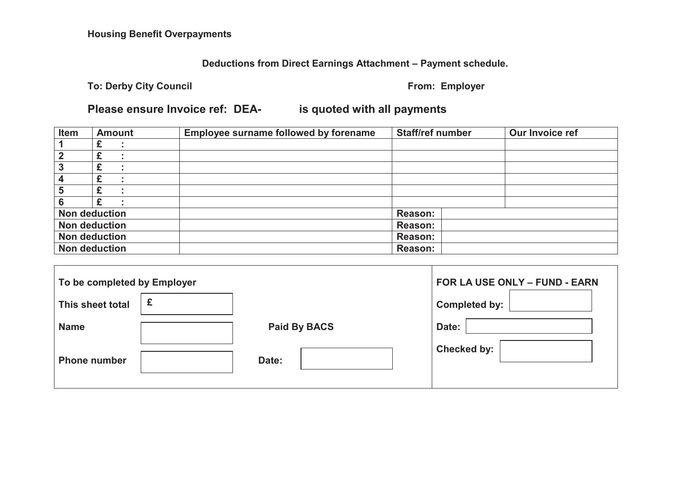# **Deductions from Direct Earnings Attachment – Payment schedule.**

**To: Derby City Council Council COUNCE 2008 Example 2009 Example 2018 Employer Employer** 

# **Please ensure Invoice ref: DEA- is quoted with all payments**

| Item                 | <b>Amount</b>        | <b>Employee surname followed by forename</b> | <b>Staff/ref number</b> | Our Invoice ref |  |
|----------------------|----------------------|----------------------------------------------|-------------------------|-----------------|--|
|                      |                      |                                              |                         |                 |  |
| 2                    |                      |                                              |                         |                 |  |
| 3                    |                      |                                              |                         |                 |  |
| 4                    |                      |                                              |                         |                 |  |
| 5                    |                      |                                              |                         |                 |  |
| 6                    |                      |                                              |                         |                 |  |
| <b>Non deduction</b> |                      |                                              | <b>Reason:</b>          |                 |  |
|                      | <b>Non deduction</b> |                                              | Reason:                 |                 |  |
|                      | <b>Non deduction</b> |                                              | Reason:                 |                 |  |
|                      | <b>Non deduction</b> |                                              | <b>Reason:</b>          |                 |  |

| To be completed by Employer |              | FOR LA USE ONLY - FUND - EARN |                      |
|-----------------------------|--------------|-------------------------------|----------------------|
| This sheet total            | £            |                               | <b>Completed by:</b> |
| <b>Name</b>                 | Paid By BACS |                               | Date:                |
| <b>Phone number</b>         |              | Date:                         | <b>Checked by:</b>   |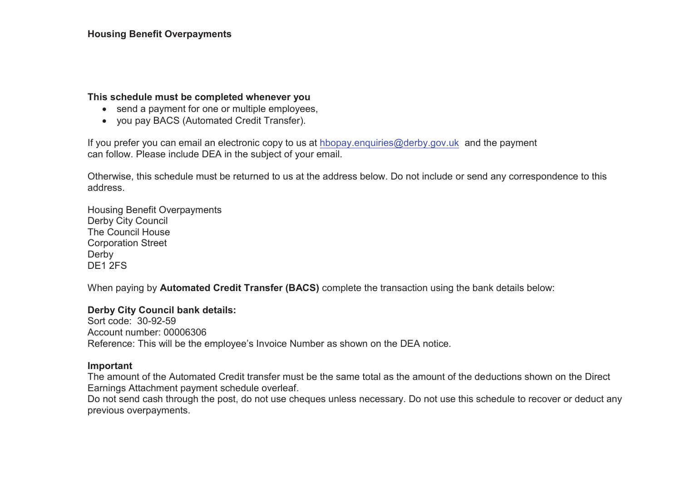## **This schedule must be completed whenever you**

- send a payment for one or multiple employees,
- you pay BACS (Automated Credit Transfer).

If you prefer you can email an electronic copy to us at hbopay.enquiries@derby.gov.uk and the payment can follow. Please include DEA in the subject of your email.

Otherwise, this schedule must be returned to us at the address below. Do not include or send any correspondence to this address.

Housing Benefit Overpayments Derby City Council The Council House Corporation Street Derby DE<sub>1</sub> 2FS

When paying by **Automated Credit Transfer (BACS)** complete the transaction using the bank details below:

#### **Derby City Council bank details:**

Sort code: 30-92-59Account number: 00006306 Reference: This will be the employee's Invoice Number as shown on the DEA notice.

#### **Important**

The amount of the Automated Credit transfer must be the same total as the amount of the deductions shown on the Direct Earnings Attachment payment schedule overleaf.

Do not send cash through the post, do not use cheques unless necessary. Do not use this schedule to recover or deduct any previous overpayments.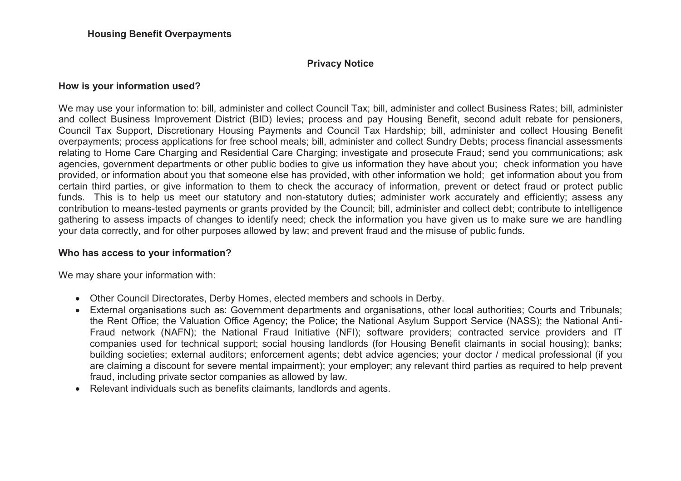## **Privacy Notice**

## **How is your information used?**

We may use your information to: bill, administer and collect Council Tax; bill, administer and collect Business Rates; bill, administer and collect Business Improvement District (BID) levies; process and pay Housing Benefit, second adult rebate for pensioners, Council Tax Support, Discretionary Housing Payments and Council Tax Hardship; bill, administer and collect Housing Benefit overpayments; process applications for free school meals; bill, administer and collect Sundry Debts; process financial assessments relating to Home Care Charging and Residential Care Charging; investigate and prosecute Fraud; send you communications; ask agencies, government departments or other public bodies to give us information they have about you; check information you have provided, or information about you that someone else has provided, with other information we hold; get information about you from certain third parties, or give information to them to check the accuracy of information, prevent or detect fraud or protect public funds. This is to help us meet our statutory and non-statutory duties; administer work accurately and efficiently; assess any contribution to means-tested payments or grants provided by the Council; bill, administer and collect debt; contribute to intelligence gathering to assess impacts of changes to identify need; check the information you have given us to make sure we are handling your data correctly, and for other purposes allowed by law; and prevent fraud and the misuse of public funds.

## **Who has access to your information?**

We may share your information with:

- Other Council Directorates, Derby Homes, elected members and schools in Derby.
- External organisations such as: Government departments and organisations, other local authorities; Courts and Tribunals; the Rent Office; the Valuation Office Agency; the Police; the National Asylum Support Service (NASS); the National Anti-Fraud network (NAFN); the National Fraud Initiative (NFI); software providers; contracted service providers and IT companies used for technical support; social housing landlords (for Housing Benefit claimants in social housing); banks; building societies; external auditors; enforcement agents; debt advice agencies; your doctor / medical professional (if you are claiming a discount for severe mental impairment); your employer; any relevant third parties as required to help prevent fraud, including private sector companies as allowed by law.
- Relevant individuals such as benefits claimants, landlords and agents.